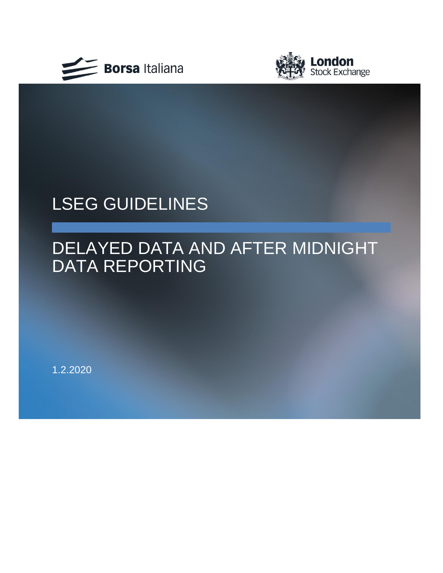



# LSEG GUIDELINES

## DELAYED DATA AND AFTER MIDNIGHT DATA REPORTING

1.2.2020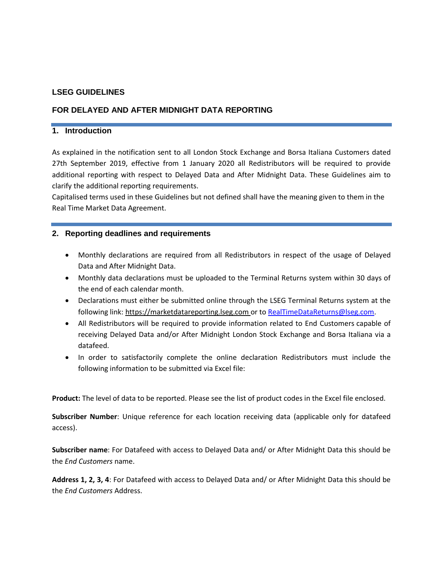## **LSEG GUIDELINES**

## **FOR DELAYED AND AFTER MIDNIGHT DATA REPORTING**

### **1. Introduction**

As explained in the notification sent to all London Stock Exchange and Borsa Italiana Customers dated 27th September 2019, effective from 1 January 2020 all Redistributors will be required to provide additional reporting with respect to Delayed Data and After Midnight Data. These Guidelines aim to clarify the additional reporting requirements.

Capitalised terms used in these Guidelines but not defined shall have the meaning given to them in the Real Time Market Data Agreement.

## **2. Reporting deadlines and requirements**

- Monthly declarations are required from all Redistributors in respect of the usage of Delayed Data and After Midnight Data.
- Monthly data declarations must be uploaded to the Terminal Returns system within 30 days of the end of each calendar month.
- Declarations must either be submitted online through the LSEG Terminal Returns system at the following link: [https://marketdatareporting.lseg.com](https://marketdatareporting.lseg.com/) or t[o RealTimeDataReturns@lseg.com.](mailto:RealTimeDataReturns@lseg.com)
- All Redistributors will be required to provide information related to End Customers capable of receiving Delayed Data and/or After Midnight London Stock Exchange and Borsa Italiana via a datafeed.
- In order to satisfactorily complete the online declaration Redistributors must include the following information to be submitted via Excel file:

**Product:** The level of data to be reported. Please see the list of product codes in the Excel file enclosed.

**Subscriber Number**: Unique reference for each location receiving data (applicable only for datafeed access).

**Subscriber name**: For Datafeed with access to Delayed Data and/ or After Midnight Data this should be the *End Customers* name.

**Address 1, 2, 3, 4**: For Datafeed with access to Delayed Data and/ or After Midnight Data this should be the *End Customers* Address.